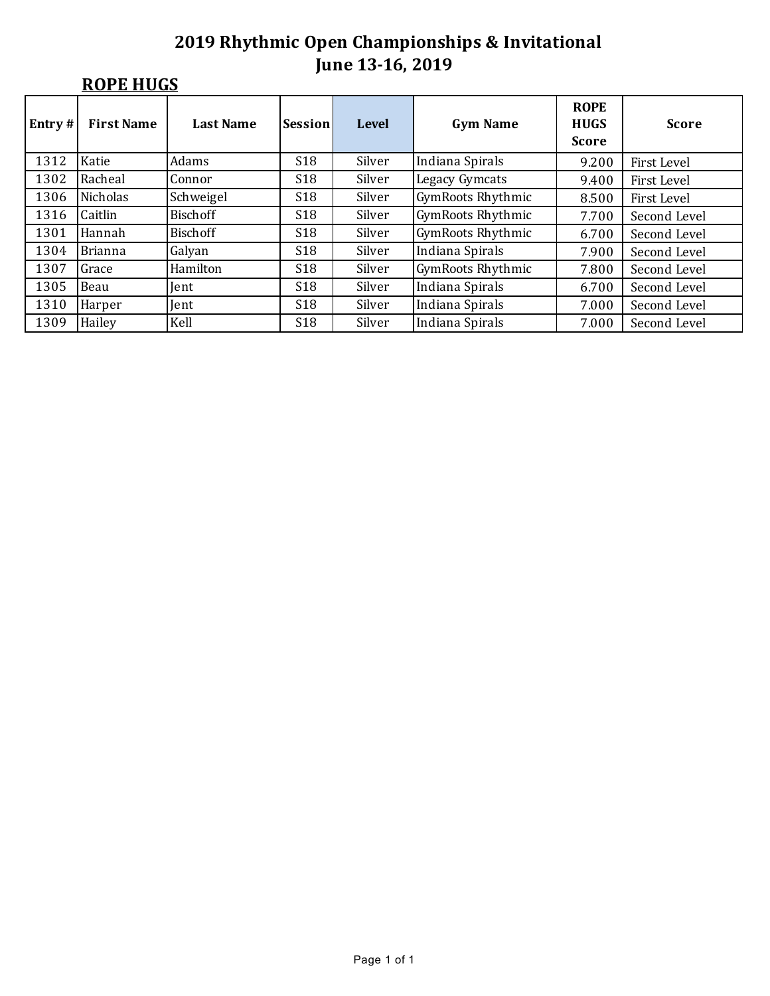# **ROPE HUGS**

| Entry $#$ | <b>First Name</b> | <b>Last Name</b> | Session         | <b>Level</b> | <b>Gym Name</b>          | <b>ROPE</b><br><b>HUGS</b><br><b>Score</b> | <b>Score</b>       |  |
|-----------|-------------------|------------------|-----------------|--------------|--------------------------|--------------------------------------------|--------------------|--|
| 1312      | Katie             | Adams            | <b>S18</b>      | Silver       | Indiana Spirals          | 9.200                                      | First Level        |  |
| 1302      | Racheal           | Connor           | <b>S18</b>      | Silver       | <b>Legacy Gymcats</b>    | 9.400                                      | First Level        |  |
| 1306      | Nicholas          | Schweigel        | <b>S18</b>      | Silver       | <b>GymRoots Rhythmic</b> | 8.500                                      | <b>First Level</b> |  |
| 1316      | Caitlin           | <b>Bischoff</b>  | <b>S18</b>      | Silver       | <b>GymRoots Rhythmic</b> | 7.700                                      | Second Level       |  |
| 1301      | Hannah            | <b>Bischoff</b>  | S <sub>18</sub> | Silver       | <b>GymRoots Rhythmic</b> | 6.700                                      | Second Level       |  |
| 1304      | Brianna           | Galyan           | <b>S18</b>      | Silver       | Indiana Spirals          | 7.900                                      | Second Level       |  |
| 1307      | Grace             | Hamilton         | <b>S18</b>      | Silver       | GymRoots Rhythmic        | 7.800                                      | Second Level       |  |
| 1305      | Beau              | Jent             | <b>S18</b>      | Silver       | Indiana Spirals          | 6.700                                      | Second Level       |  |
| 1310      | Harper            | Jent             | S <sub>18</sub> | Silver       | Indiana Spirals          | 7.000                                      | Second Level       |  |
| 1309      | Hailey            | Kell             | <b>S18</b>      | Silver       | Indiana Spirals          | 7.000                                      | Second Level       |  |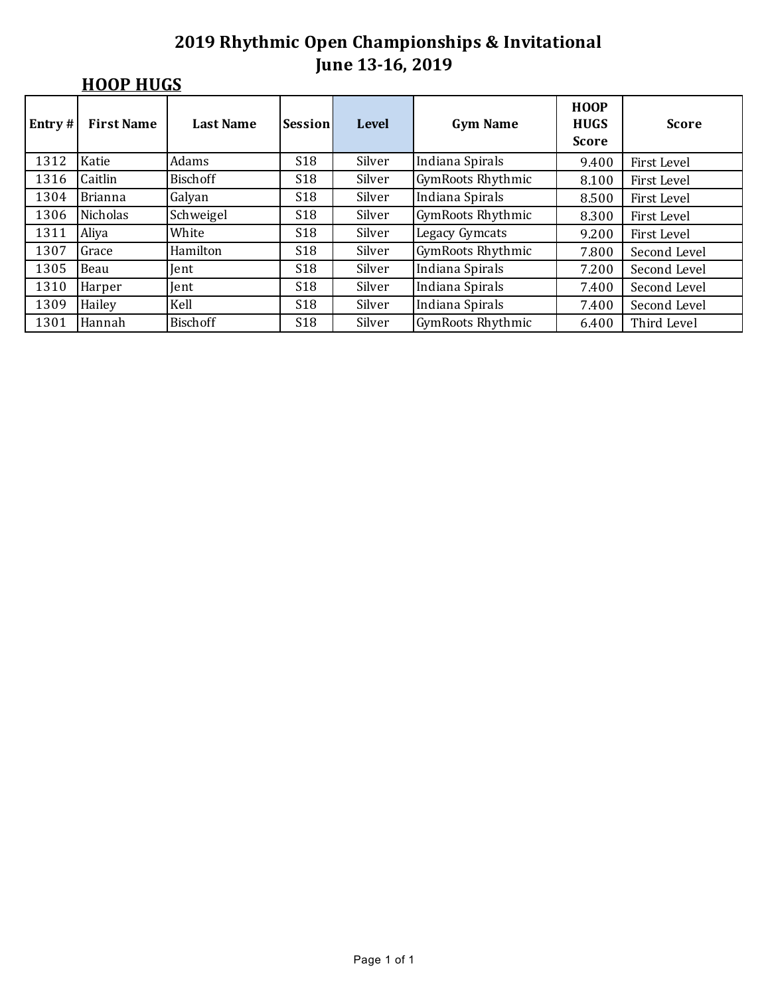# **HOOP HUGS**

| Entry $#$ | <b>First Name</b> | <b>Last Name</b> | Session         | <b>Level</b> | <b>Gym Name</b>          | <b>HOOP</b><br><b>HUGS</b><br><b>Score</b> | <b>Score</b> |
|-----------|-------------------|------------------|-----------------|--------------|--------------------------|--------------------------------------------|--------------|
| 1312      | Katie             | Adams            | <b>S18</b>      | Silver       | Indiana Spirals          | 9.400                                      | First Level  |
| 1316      | Caitlin           | <b>Bischoff</b>  | <b>S18</b>      | Silver       | GymRoots Rhythmic        | 8.100                                      | First Level  |
| 1304      | Brianna           | Galyan           | <b>S18</b>      | Silver       | Indiana Spirals          | 8.500                                      | First Level  |
| 1306      | Nicholas          | Schweigel        | <b>S18</b>      | Silver       | <b>GymRoots Rhythmic</b> | 8.300                                      | First Level  |
| 1311      | Aliya             | White            | <b>S18</b>      | Silver       | <b>Legacy Gymcats</b>    | 9.200                                      | First Level  |
| 1307      | Grace             | Hamilton         | <b>S18</b>      | Silver       | <b>GymRoots Rhythmic</b> | 7.800                                      | Second Level |
| 1305      | Beau              | <b>Tent</b>      | <b>S18</b>      | Silver       | Indiana Spirals          | 7.200                                      | Second Level |
| 1310      | Harper            | Jent             | <b>S18</b>      | Silver       | Indiana Spirals          | 7.400                                      | Second Level |
| 1309      | Hailey            | Kell             | <b>S18</b>      | Silver       | Indiana Spirals          | 7.400                                      | Second Level |
| 1301      | Hannah            | <b>Bischoff</b>  | S <sub>18</sub> | Silver       | <b>GymRoots Rhythmic</b> | 6.400                                      | Third Level  |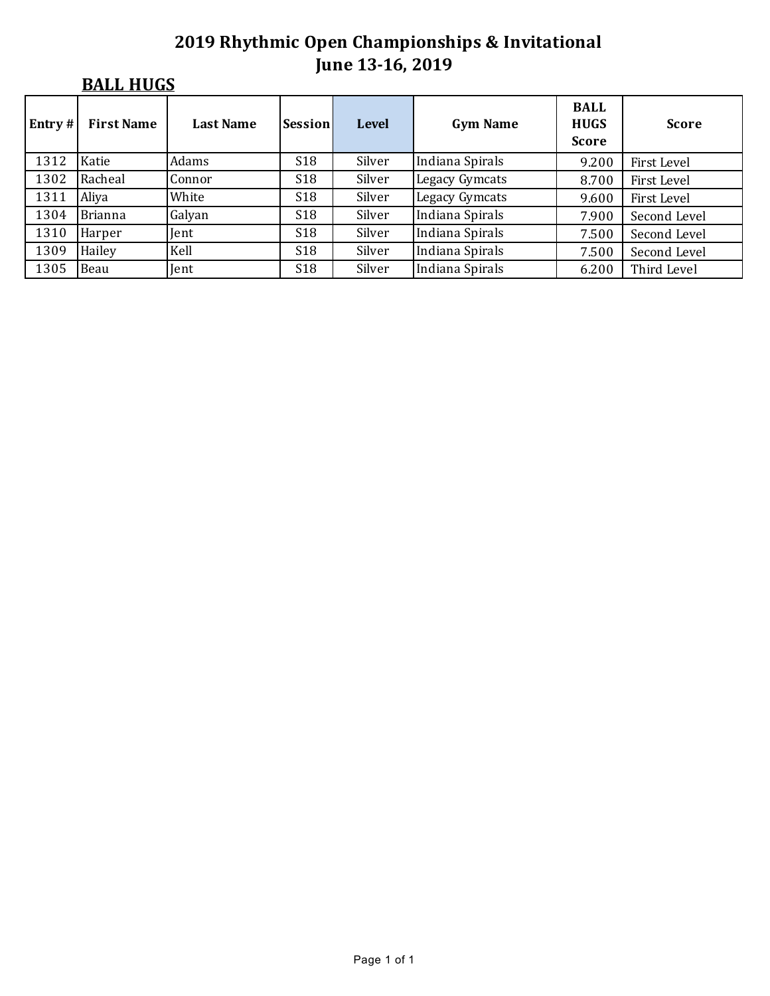# **BALL HUGS**

| $Entry$ # | <b>First Name</b> | <b>Last Name</b> | Session    | <b>Level</b> | <b>Gym Name</b>       | <b>BALL</b><br><b>HUGS</b><br><b>Score</b> | <b>Score</b> |
|-----------|-------------------|------------------|------------|--------------|-----------------------|--------------------------------------------|--------------|
| 1312      | Katie             | Adams            | <b>S18</b> | Silver       | Indiana Spirals       | 9.200                                      | First Level  |
| 1302      | Racheal           | Connor           | <b>S18</b> | Silver       | Legacy Gymcats        | 8.700                                      | First Level  |
| 1311      | Aliya             | White            | <b>S18</b> | Silver       | <b>Legacy Gymcats</b> | 9.600                                      | First Level  |
| 1304      | Brianna           | Galyan           | <b>S18</b> | Silver       | Indiana Spirals       | 7.900                                      | Second Level |
| 1310      | Harper            | Jent             | <b>S18</b> | Silver       | Indiana Spirals       | 7.500                                      | Second Level |
| 1309      | Hailey            | Kell             | <b>S18</b> | Silver       | Indiana Spirals       | 7.500                                      | Second Level |
| 1305      | Beau              | Jent             | <b>S18</b> | Silver       | Indiana Spirals       | 6.200                                      | Third Level  |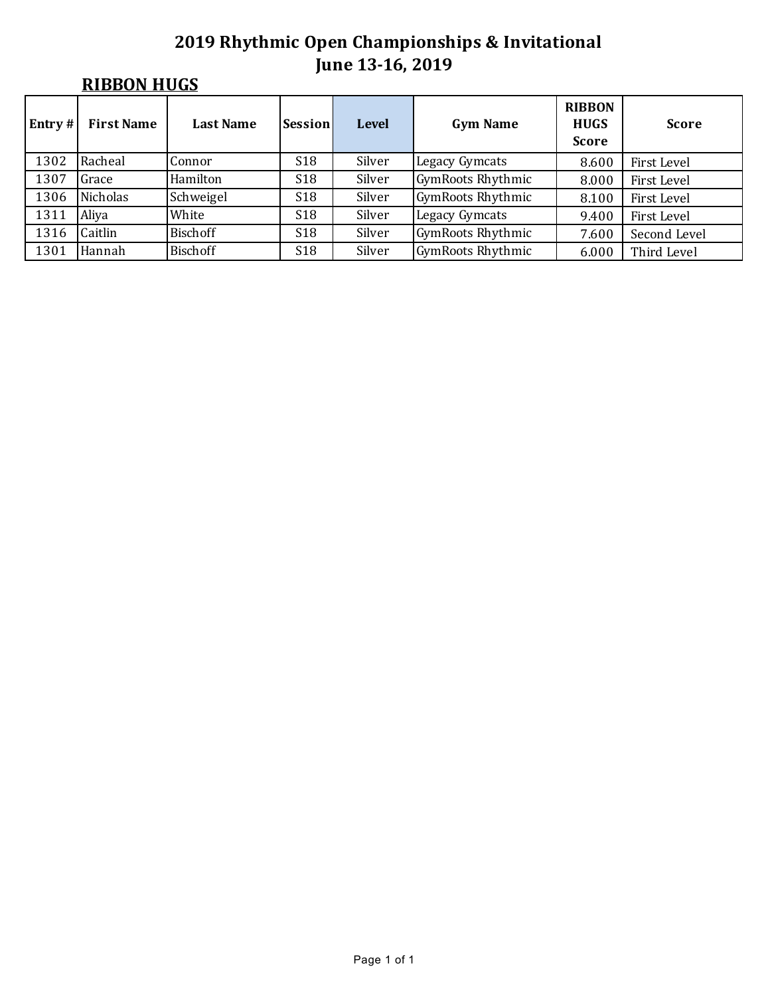# **RIBBON HUGS**

| $\mathbf{Entry}$ # | <b>First Name</b> | <b>Last Name</b> | Session         | <b>Level</b> | <b>Gym Name</b>          | <b>RIBBON</b><br><b>HUGS</b><br><b>Score</b> | <b>Score</b> |  |
|--------------------|-------------------|------------------|-----------------|--------------|--------------------------|----------------------------------------------|--------------|--|
| 1302               | Racheal           | Connor           | S <sub>18</sub> | Silver       | Legacy Gymcats           | 8.600                                        | First Level  |  |
| 1307               | Grace             | Hamilton         | <b>S18</b>      | Silver       | <b>GymRoots Rhythmic</b> | 8.000                                        | First Level  |  |
| 1306               | Nicholas          | Schweigel        | S <sub>18</sub> | Silver       | <b>GymRoots Rhythmic</b> | 8.100                                        | First Level  |  |
| 1311               | Aliya             | White            | S <sub>18</sub> | Silver       | Legacy Gymcats           | 9.400                                        | First Level  |  |
| 1316               | Caitlin           | Bischoff         | <b>S18</b>      | Silver       | <b>GymRoots Rhythmic</b> | 7.600                                        | Second Level |  |
| 1301               | Hannah            | Bischoff         | S <sub>18</sub> | Silver       | <b>GymRoots Rhythmic</b> | 6.000                                        | Third Level  |  |